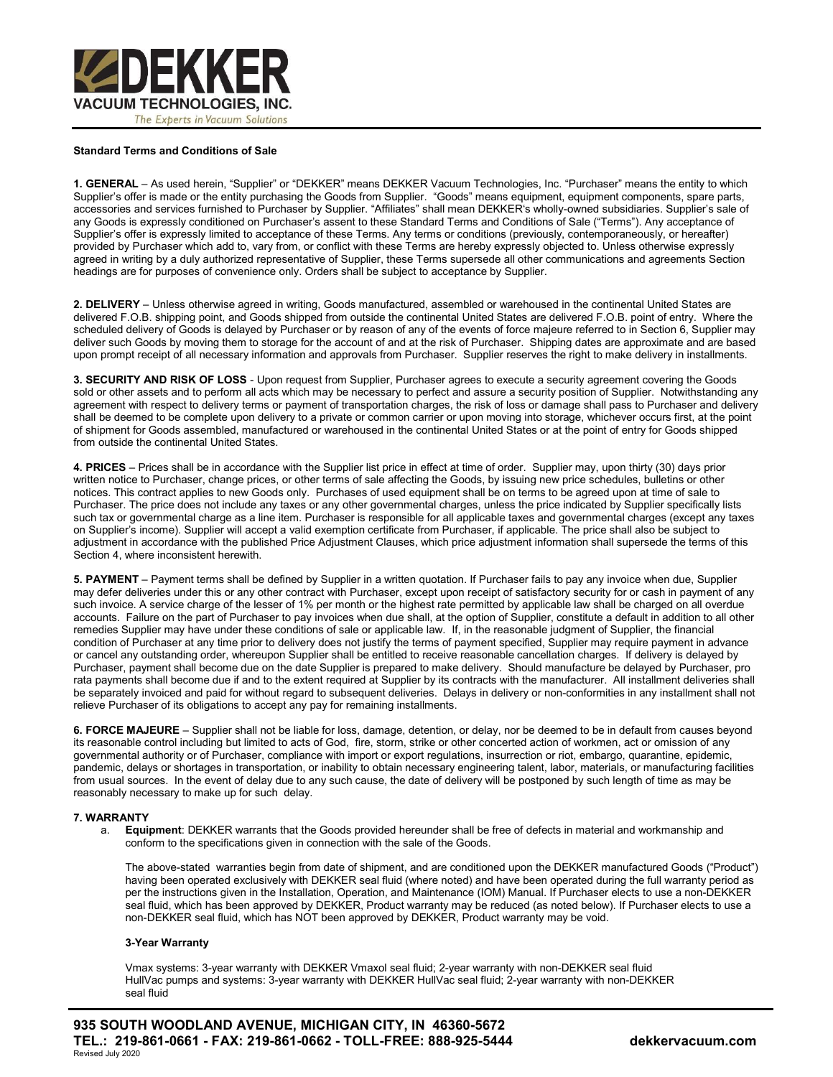

### Standard Terms and Conditions of Sale

1. GENERAL – As used herein, "Supplier" or "DEKKER" means DEKKER Vacuum Technologies, Inc. "Purchaser" means the entity to which Supplier's offer is made or the entity purchasing the Goods from Supplier. "Goods" means equipment, equipment components, spare parts, accessories and services furnished to Purchaser by Supplier. "Affiliates" shall mean DEKKER's wholly-owned subsidiaries. Supplier's sale of any Goods is expressly conditioned on Purchaser's assent to these Standard Terms and Conditions of Sale ("Terms"). Any acceptance of Supplier's offer is expressly limited to acceptance of these Terms. Any terms or conditions (previously, contemporaneously, or hereafter) provided by Purchaser which add to, vary from, or conflict with these Terms are hereby expressly objected to. Unless otherwise expressly agreed in writing by a duly authorized representative of Supplier, these Terms supersede all other communications and agreements Section headings are for purposes of convenience only. Orders shall be subject to acceptance by Supplier.

2. DELIVERY - Unless otherwise agreed in writing, Goods manufactured, assembled or warehoused in the continental United States are delivered F.O.B. shipping point, and Goods shipped from outside the continental United States are delivered F.O.B. point of entry. Where the scheduled delivery of Goods is delayed by Purchaser or by reason of any of the events of force majeure referred to in Section 6, Supplier may deliver such Goods by moving them to storage for the account of and at the risk of Purchaser. Shipping dates are approximate and are based upon prompt receipt of all necessary information and approvals from Purchaser. Supplier reserves the right to make delivery in installments.

3. SECURITY AND RISK OF LOSS - Upon request from Supplier, Purchaser agrees to execute a security agreement covering the Goods sold or other assets and to perform all acts which may be necessary to perfect and assure a security position of Supplier. Notwithstanding any agreement with respect to delivery terms or payment of transportation charges, the risk of loss or damage shall pass to Purchaser and delivery shall be deemed to be complete upon delivery to a private or common carrier or upon moving into storage, whichever occurs first, at the point of shipment for Goods assembled, manufactured or warehoused in the continental United States or at the point of entry for Goods shipped from outside the continental United States.

4. PRICES – Prices shall be in accordance with the Supplier list price in effect at time of order. Supplier may, upon thirty (30) days prior written notice to Purchaser, change prices, or other terms of sale affecting the Goods, by issuing new price schedules, bulletins or other notices. This contract applies to new Goods only. Purchases of used equipment shall be on terms to be agreed upon at time of sale to Purchaser. The price does not include any taxes or any other governmental charges, unless the price indicated by Supplier specifically lists such tax or governmental charge as a line item. Purchaser is responsible for all applicable taxes and governmental charges (except any taxes on Supplier's income). Supplier will accept a valid exemption certificate from Purchaser, if applicable. The price shall also be subject to adjustment in accordance with the published Price Adjustment Clauses, which price adjustment information shall supersede the terms of this Section 4, where inconsistent herewith.

5. PAYMENT – Payment terms shall be defined by Supplier in a written quotation. If Purchaser fails to pay any invoice when due, Supplier may defer deliveries under this or any other contract with Purchaser, except upon receipt of satisfactory security for or cash in payment of any such invoice. A service charge of the lesser of 1% per month or the highest rate permitted by applicable law shall be charged on all overdue accounts. Failure on the part of Purchaser to pay invoices when due shall, at the option of Supplier, constitute a default in addition to all other remedies Supplier may have under these conditions of sale or applicable law. If, in the reasonable judgment of Supplier, the financial condition of Purchaser at any time prior to delivery does not justify the terms of payment specified, Supplier may require payment in advance or cancel any outstanding order, whereupon Supplier shall be entitled to receive reasonable cancellation charges. If delivery is delayed by Purchaser, payment shall become due on the date Supplier is prepared to make delivery. Should manufacture be delayed by Purchaser, pro rata payments shall become due if and to the extent required at Supplier by its contracts with the manufacturer. All installment deliveries shall be separately invoiced and paid for without regard to subsequent deliveries. Delays in delivery or non-conformities in any installment shall not relieve Purchaser of its obligations to accept any pay for remaining installments.

6. FORCE MAJEURE – Supplier shall not be liable for loss, damage, detention, or delay, nor be deemed to be in default from causes beyond its reasonable control including but limited to acts of God, fire, storm, strike or other concerted action of workmen, act or omission of any governmental authority or of Purchaser, compliance with import or export regulations, insurrection or riot, embargo, quarantine, epidemic, pandemic, delays or shortages in transportation, or inability to obtain necessary engineering talent, labor, materials, or manufacturing facilities from usual sources. In the event of delay due to any such cause, the date of delivery will be postponed by such length of time as may be reasonably necessary to make up for such delay.

#### 7. WARRANTY

a. Equipment: DEKKER warrants that the Goods provided hereunder shall be free of defects in material and workmanship and conform to the specifications given in connection with the sale of the Goods.

The above-stated warranties begin from date of shipment, and are conditioned upon the DEKKER manufactured Goods ("Product") having been operated exclusively with DEKKER seal fluid (where noted) and have been operated during the full warranty period as per the instructions given in the Installation, Operation, and Maintenance (IOM) Manual. If Purchaser elects to use a non-DEKKER seal fluid, which has been approved by DEKKER, Product warranty may be reduced (as noted below). If Purchaser elects to use a non-DEKKER seal fluid, which has NOT been approved by DEKKER, Product warranty may be void.

# 3-Year Warranty

Vmax systems: 3-year warranty with DEKKER Vmaxol seal fluid; 2-year warranty with non-DEKKER seal fluid HullVac pumps and systems: 3-year warranty with DEKKER HullVac seal fluid; 2-year warranty with non-DEKKER seal fluid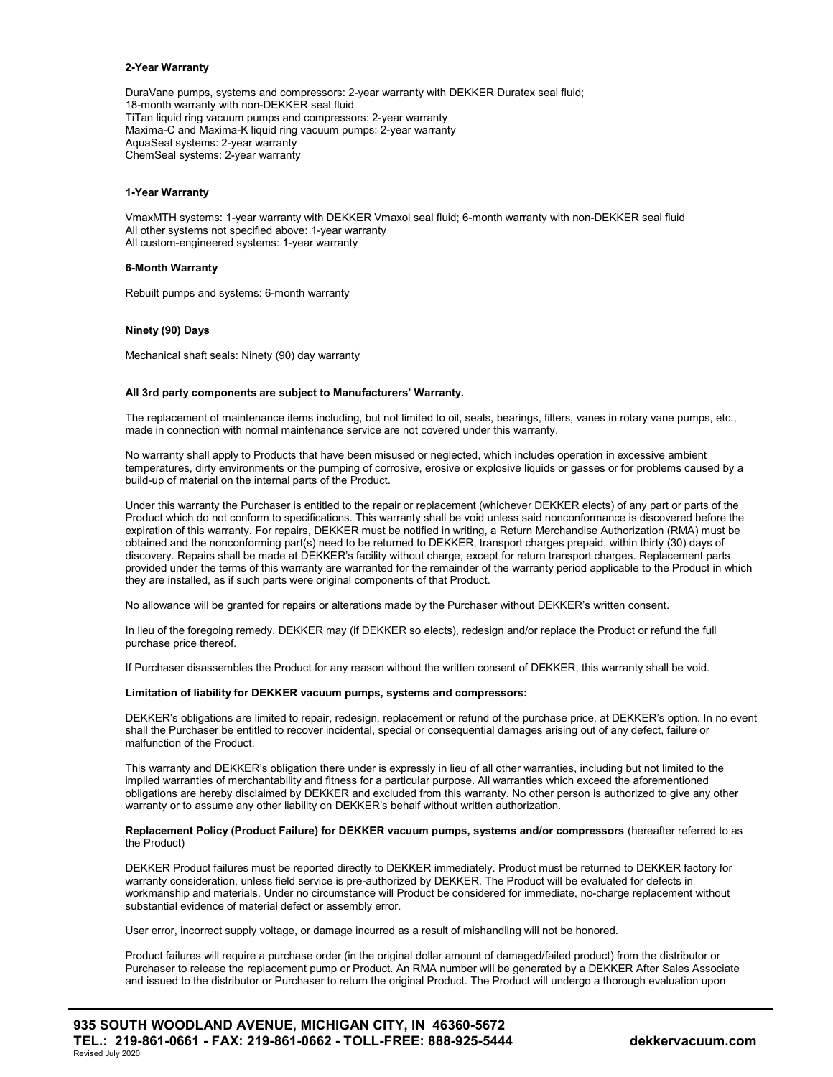#### 2-Year Warranty

DuraVane pumps, systems and compressors: 2-year warranty with DEKKER Duratex seal fluid; 18-month warranty with non-DEKKER seal fluid TiTan liquid ring vacuum pumps and compressors: 2-year warranty Maxima-C and Maxima-K liquid ring vacuum pumps: 2-year warranty AquaSeal systems: 2-year warranty ChemSeal systems: 2-year warranty

### 1-Year Warranty

VmaxMTH systems: 1-year warranty with DEKKER Vmaxol seal fluid; 6-month warranty with non-DEKKER seal fluid All other systems not specified above: 1-year warranty All custom-engineered systems: 1-year warranty

### 6-Month Warranty

Rebuilt pumps and systems: 6-month warranty

#### Ninety (90) Days

Mechanical shaft seals: Ninety (90) day warranty

### All 3rd party components are subject to Manufacturers' Warranty.

The replacement of maintenance items including, but not limited to oil, seals, bearings, filters, vanes in rotary vane pumps, etc., made in connection with normal maintenance service are not covered under this warranty.

No warranty shall apply to Products that have been misused or neglected, which includes operation in excessive ambient temperatures, dirty environments or the pumping of corrosive, erosive or explosive liquids or gasses or for problems caused by a build-up of material on the internal parts of the Product.

Under this warranty the Purchaser is entitled to the repair or replacement (whichever DEKKER elects) of any part or parts of the Product which do not conform to specifications. This warranty shall be void unless said nonconformance is discovered before the expiration of this warranty. For repairs, DEKKER must be notified in writing, a Return Merchandise Authorization (RMA) must be obtained and the nonconforming part(s) need to be returned to DEKKER, transport charges prepaid, within thirty (30) days of discovery. Repairs shall be made at DEKKER's facility without charge, except for return transport charges. Replacement parts provided under the terms of this warranty are warranted for the remainder of the warranty period applicable to the Product in which they are installed, as if such parts were original components of that Product.

No allowance will be granted for repairs or alterations made by the Purchaser without DEKKER's written consent.

In lieu of the foregoing remedy, DEKKER may (if DEKKER so elects), redesign and/or replace the Product or refund the full purchase price thereof.

If Purchaser disassembles the Product for any reason without the written consent of DEKKER, this warranty shall be void.

### Limitation of liability for DEKKER vacuum pumps, systems and compressors:

DEKKER's obligations are limited to repair, redesign, replacement or refund of the purchase price, at DEKKER's option. In no event shall the Purchaser be entitled to recover incidental, special or consequential damages arising out of any defect, failure or malfunction of the Product.

This warranty and DEKKER's obligation there under is expressly in lieu of all other warranties, including but not limited to the implied warranties of merchantability and fitness for a particular purpose. All warranties which exceed the aforementioned obligations are hereby disclaimed by DEKKER and excluded from this warranty. No other person is authorized to give any other warranty or to assume any other liability on DEKKER's behalf without written authorization.

#### Replacement Policy (Product Failure) for DEKKER vacuum pumps, systems and/or compressors (hereafter referred to as the Product)

DEKKER Product failures must be reported directly to DEKKER immediately. Product must be returned to DEKKER factory for warranty consideration, unless field service is pre-authorized by DEKKER. The Product will be evaluated for defects in workmanship and materials. Under no circumstance will Product be considered for immediate, no-charge replacement without substantial evidence of material defect or assembly error.

User error, incorrect supply voltage, or damage incurred as a result of mishandling will not be honored.

Product failures will require a purchase order (in the original dollar amount of damaged/failed product) from the distributor or Purchaser to release the replacement pump or Product. An RMA number will be generated by a DEKKER After Sales Associate and issued to the distributor or Purchaser to return the original Product. The Product will undergo a thorough evaluation upon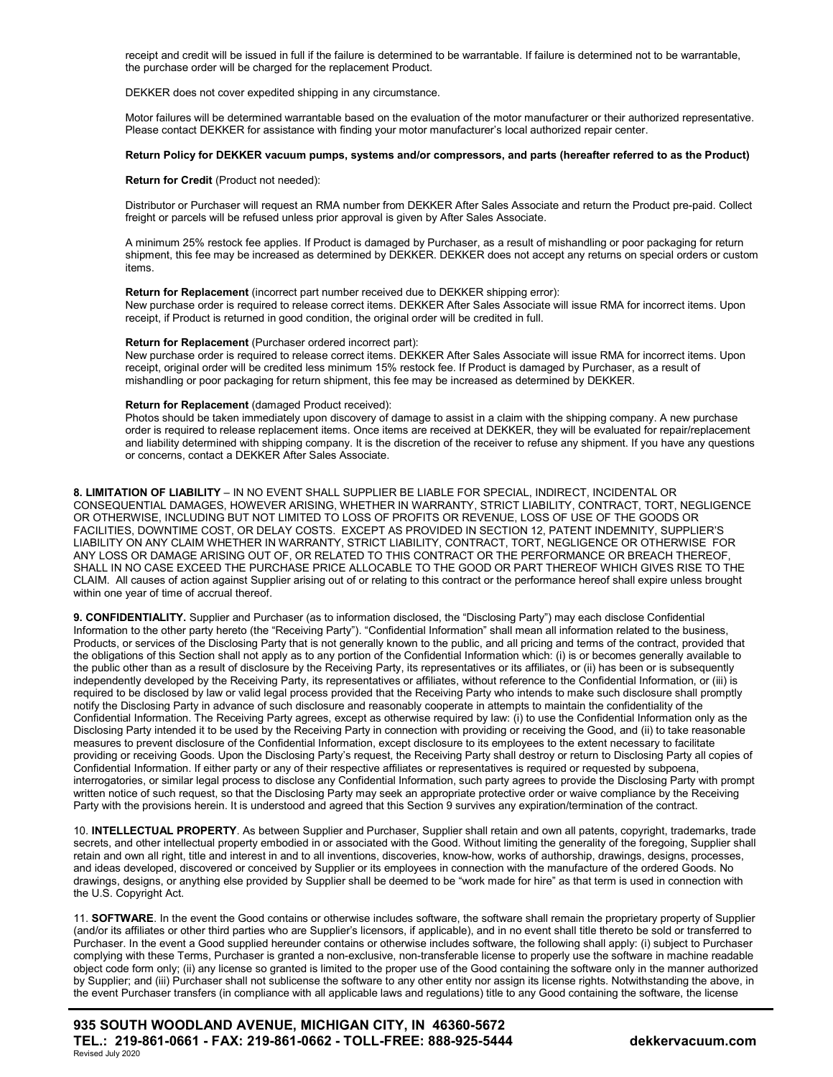receipt and credit will be issued in full if the failure is determined to be warrantable. If failure is determined not to be warrantable, the purchase order will be charged for the replacement Product.

DEKKER does not cover expedited shipping in any circumstance.

Motor failures will be determined warrantable based on the evaluation of the motor manufacturer or their authorized representative. Please contact DEKKER for assistance with finding your motor manufacturer's local authorized repair center.

# Return Policy for DEKKER vacuum pumps, systems and/or compressors, and parts (hereafter referred to as the Product)

Return for Credit (Product not needed):

Distributor or Purchaser will request an RMA number from DEKKER After Sales Associate and return the Product pre-paid. Collect freight or parcels will be refused unless prior approval is given by After Sales Associate.

A minimum 25% restock fee applies. If Product is damaged by Purchaser, as a result of mishandling or poor packaging for return shipment, this fee may be increased as determined by DEKKER. DEKKER does not accept any returns on special orders or custom items.

Return for Replacement (incorrect part number received due to DEKKER shipping error): New purchase order is required to release correct items. DEKKER After Sales Associate will issue RMA for incorrect items. Upon receipt, if Product is returned in good condition, the original order will be credited in full.

### Return for Replacement (Purchaser ordered incorrect part):

New purchase order is required to release correct items. DEKKER After Sales Associate will issue RMA for incorrect items. Upon receipt, original order will be credited less minimum 15% restock fee. If Product is damaged by Purchaser, as a result of mishandling or poor packaging for return shipment, this fee may be increased as determined by DEKKER.

### Return for Replacement (damaged Product received):

Photos should be taken immediately upon discovery of damage to assist in a claim with the shipping company. A new purchase order is required to release replacement items. Once items are received at DEKKER, they will be evaluated for repair/replacement and liability determined with shipping company. It is the discretion of the receiver to refuse any shipment. If you have any questions or concerns, contact a DEKKER After Sales Associate.

8. LIMITATION OF LIABILITY – IN NO EVENT SHALL SUPPLIER BE LIABLE FOR SPECIAL, INDIRECT, INCIDENTAL OR CONSEQUENTIAL DAMAGES, HOWEVER ARISING, WHETHER IN WARRANTY, STRICT LIABILITY, CONTRACT, TORT, NEGLIGENCE OR OTHERWISE, INCLUDING BUT NOT LIMITED TO LOSS OF PROFITS OR REVENUE, LOSS OF USE OF THE GOODS OR FACILITIES, DOWNTIME COST, OR DELAY COSTS. EXCEPT AS PROVIDED IN SECTION 12, PATENT INDEMNITY, SUPPLIER'S LIABILITY ON ANY CLAIM WHETHER IN WARRANTY, STRICT LIABILITY, CONTRACT, TORT, NEGLIGENCE OR OTHERWISE FOR ANY LOSS OR DAMAGE ARISING OUT OF, OR RELATED TO THIS CONTRACT OR THE PERFORMANCE OR BREACH THEREOF, SHALL IN NO CASE EXCEED THE PURCHASE PRICE ALLOCABLE TO THE GOOD OR PART THEREOF WHICH GIVES RISE TO THE CLAIM. All causes of action against Supplier arising out of or relating to this contract or the performance hereof shall expire unless brought within one year of time of accrual thereof.

9. CONFIDENTIALITY. Supplier and Purchaser (as to information disclosed, the "Disclosing Party") may each disclose Confidential Information to the other party hereto (the "Receiving Party"). "Confidential Information" shall mean all information related to the business, Products, or services of the Disclosing Party that is not generally known to the public, and all pricing and terms of the contract, provided that the obligations of this Section shall not apply as to any portion of the Confidential Information which: (i) is or becomes generally available to the public other than as a result of disclosure by the Receiving Party, its representatives or its affiliates, or (ii) has been or is subsequently independently developed by the Receiving Party, its representatives or affiliates, without reference to the Confidential Information, or (iii) is required to be disclosed by law or valid legal process provided that the Receiving Party who intends to make such disclosure shall promptly notify the Disclosing Party in advance of such disclosure and reasonably cooperate in attempts to maintain the confidentiality of the Confidential Information. The Receiving Party agrees, except as otherwise required by law: (i) to use the Confidential Information only as the Disclosing Party intended it to be used by the Receiving Party in connection with providing or receiving the Good, and (ii) to take reasonable measures to prevent disclosure of the Confidential Information, except disclosure to its employees to the extent necessary to facilitate providing or receiving Goods. Upon the Disclosing Party's request, the Receiving Party shall destroy or return to Disclosing Party all copies of Confidential Information. If either party or any of their respective affiliates or representatives is required or requested by subpoena, interrogatories, or similar legal process to disclose any Confidential Information, such party agrees to provide the Disclosing Party with prompt written notice of such request, so that the Disclosing Party may seek an appropriate protective order or waive compliance by the Receiving Party with the provisions herein. It is understood and agreed that this Section 9 survives any expiration/termination of the contract.

10. INTELLECTUAL PROPERTY. As between Supplier and Purchaser, Supplier shall retain and own all patents, copyright, trademarks, trade secrets, and other intellectual property embodied in or associated with the Good. Without limiting the generality of the foregoing, Supplier shall retain and own all right, title and interest in and to all inventions, discoveries, know-how, works of authorship, drawings, designs, processes, and ideas developed, discovered or conceived by Supplier or its employees in connection with the manufacture of the ordered Goods. No drawings, designs, or anything else provided by Supplier shall be deemed to be "work made for hire" as that term is used in connection with the U.S. Copyright Act.

11. SOFTWARE. In the event the Good contains or otherwise includes software, the software shall remain the proprietary property of Supplier (and/or its affiliates or other third parties who are Supplier's licensors, if applicable), and in no event shall title thereto be sold or transferred to Purchaser. In the event a Good supplied hereunder contains or otherwise includes software, the following shall apply: (i) subject to Purchaser complying with these Terms, Purchaser is granted a non-exclusive, non-transferable license to properly use the software in machine readable object code form only; (ii) any license so granted is limited to the proper use of the Good containing the software only in the manner authorized by Supplier; and (iii) Purchaser shall not sublicense the software to any other entity nor assign its license rights. Notwithstanding the above, in the event Purchaser transfers (in compliance with all applicable laws and regulations) title to any Good containing the software, the license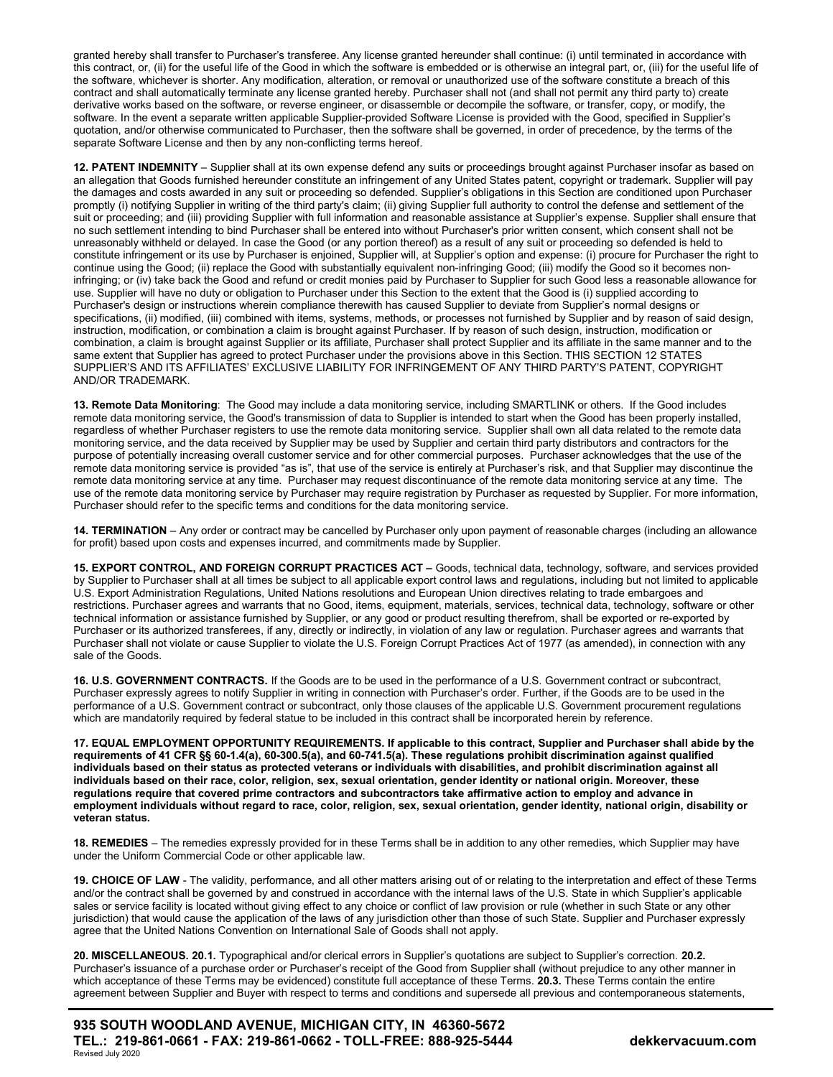granted hereby shall transfer to Purchaser's transferee. Any license granted hereunder shall continue: (i) until terminated in accordance with this contract, or, (ii) for the useful life of the Good in which the software is embedded or is otherwise an integral part, or, (iii) for the useful life of the software, whichever is shorter. Any modification, alteration, or removal or unauthorized use of the software constitute a breach of this contract and shall automatically terminate any license granted hereby. Purchaser shall not (and shall not permit any third party to) create derivative works based on the software, or reverse engineer, or disassemble or decompile the software, or transfer, copy, or modify, the software. In the event a separate written applicable Supplier-provided Software License is provided with the Good, specified in Supplier's quotation, and/or otherwise communicated to Purchaser, then the software shall be governed, in order of precedence, by the terms of the separate Software License and then by any non-conflicting terms hereof.

12. PATENT INDEMNITY - Supplier shall at its own expense defend any suits or proceedings brought against Purchaser insofar as based on an allegation that Goods furnished hereunder constitute an infringement of any United States patent, copyright or trademark. Supplier will pay the damages and costs awarded in any suit or proceeding so defended. Supplier's obligations in this Section are conditioned upon Purchaser promptly (i) notifying Supplier in writing of the third party's claim; (ii) giving Supplier full authority to control the defense and settlement of the suit or proceeding; and (iii) providing Supplier with full information and reasonable assistance at Supplier's expense. Supplier shall ensure that no such settlement intending to bind Purchaser shall be entered into without Purchaser's prior written consent, which consent shall not be unreasonably withheld or delayed. In case the Good (or any portion thereof) as a result of any suit or proceeding so defended is held to constitute infringement or its use by Purchaser is enjoined, Supplier will, at Supplier's option and expense: (i) procure for Purchaser the right to continue using the Good; (ii) replace the Good with substantially equivalent non-infringing Good; (iii) modify the Good so it becomes noninfringing; or (iv) take back the Good and refund or credit monies paid by Purchaser to Supplier for such Good less a reasonable allowance for use. Supplier will have no duty or obligation to Purchaser under this Section to the extent that the Good is (i) supplied according to Purchaser's design or instructions wherein compliance therewith has caused Supplier to deviate from Supplier's normal designs or specifications, (ii) modified, (iii) combined with items, systems, methods, or processes not furnished by Supplier and by reason of said design, instruction, modification, or combination a claim is brought against Purchaser. If by reason of such design, instruction, modification or combination, a claim is brought against Supplier or its affiliate, Purchaser shall protect Supplier and its affiliate in the same manner and to the same extent that Supplier has agreed to protect Purchaser under the provisions above in this Section. THIS SECTION 12 STATES SUPPLIER'S AND ITS AFFILIATES' EXCLUSIVE LIABILITY FOR INFRINGEMENT OF ANY THIRD PARTY'S PATENT, COPYRIGHT AND/OR TRADEMARK.

13. Remote Data Monitoring: The Good may include a data monitoring service, including SMARTLINK or others. If the Good includes remote data monitoring service, the Good's transmission of data to Supplier is intended to start when the Good has been properly installed, regardless of whether Purchaser registers to use the remote data monitoring service. Supplier shall own all data related to the remote data monitoring service, and the data received by Supplier may be used by Supplier and certain third party distributors and contractors for the purpose of potentially increasing overall customer service and for other commercial purposes. Purchaser acknowledges that the use of the remote data monitoring service is provided "as is", that use of the service is entirely at Purchaser's risk, and that Supplier may discontinue the remote data monitoring service at any time. Purchaser may request discontinuance of the remote data monitoring service at any time. The use of the remote data monitoring service by Purchaser may require registration by Purchaser as requested by Supplier. For more information, Purchaser should refer to the specific terms and conditions for the data monitoring service.

14. TERMINATION – Any order or contract may be cancelled by Purchaser only upon payment of reasonable charges (including an allowance for profit) based upon costs and expenses incurred, and commitments made by Supplier.

15. EXPORT CONTROL, AND FOREIGN CORRUPT PRACTICES ACT – Goods, technical data, technology, software, and services provided by Supplier to Purchaser shall at all times be subject to all applicable export control laws and regulations, including but not limited to applicable U.S. Export Administration Regulations, United Nations resolutions and European Union directives relating to trade embargoes and restrictions. Purchaser agrees and warrants that no Good, items, equipment, materials, services, technical data, technology, software or other technical information or assistance furnished by Supplier, or any good or product resulting therefrom, shall be exported or re-exported by Purchaser or its authorized transferees, if any, directly or indirectly, in violation of any law or regulation. Purchaser agrees and warrants that Purchaser shall not violate or cause Supplier to violate the U.S. Foreign Corrupt Practices Act of 1977 (as amended), in connection with any sale of the Goods.

16. U.S. GOVERNMENT CONTRACTS. If the Goods are to be used in the performance of a U.S. Government contract or subcontract, Purchaser expressly agrees to notify Supplier in writing in connection with Purchaser's order. Further, if the Goods are to be used in the performance of a U.S. Government contract or subcontract, only those clauses of the applicable U.S. Government procurement regulations which are mandatorily required by federal statue to be included in this contract shall be incorporated herein by reference.

17. EQUAL EMPLOYMENT OPPORTUNITY REQUIREMENTS. If applicable to this contract, Supplier and Purchaser shall abide by the requirements of 41 CFR §§ 60-1.4(a), 60-300.5(a), and 60-741.5(a). These regulations prohibit discrimination against qualified individuals based on their status as protected veterans or individuals with disabilities, and prohibit discrimination against all individuals based on their race, color, religion, sex, sexual orientation, gender identity or national origin. Moreover, these regulations require that covered prime contractors and subcontractors take affirmative action to employ and advance in employment individuals without regard to race, color, religion, sex, sexual orientation, gender identity, national origin, disability or veteran status.

18. REMEDIES – The remedies expressly provided for in these Terms shall be in addition to any other remedies, which Supplier may have under the Uniform Commercial Code or other applicable law.

19. CHOICE OF LAW - The validity, performance, and all other matters arising out of or relating to the interpretation and effect of these Terms and/or the contract shall be governed by and construed in accordance with the internal laws of the U.S. State in which Supplier's applicable sales or service facility is located without giving effect to any choice or conflict of law provision or rule (whether in such State or any other jurisdiction) that would cause the application of the laws of any jurisdiction other than those of such State. Supplier and Purchaser expressly agree that the United Nations Convention on International Sale of Goods shall not apply.

20. MISCELLANEOUS. 20.1. Typographical and/or clerical errors in Supplier's quotations are subject to Supplier's correction. 20.2. Purchaser's issuance of a purchase order or Purchaser's receipt of the Good from Supplier shall (without prejudice to any other manner in which acceptance of these Terms may be evidenced) constitute full acceptance of these Terms. 20.3. These Terms contain the entire agreement between Supplier and Buyer with respect to terms and conditions and supersede all previous and contemporaneous statements,